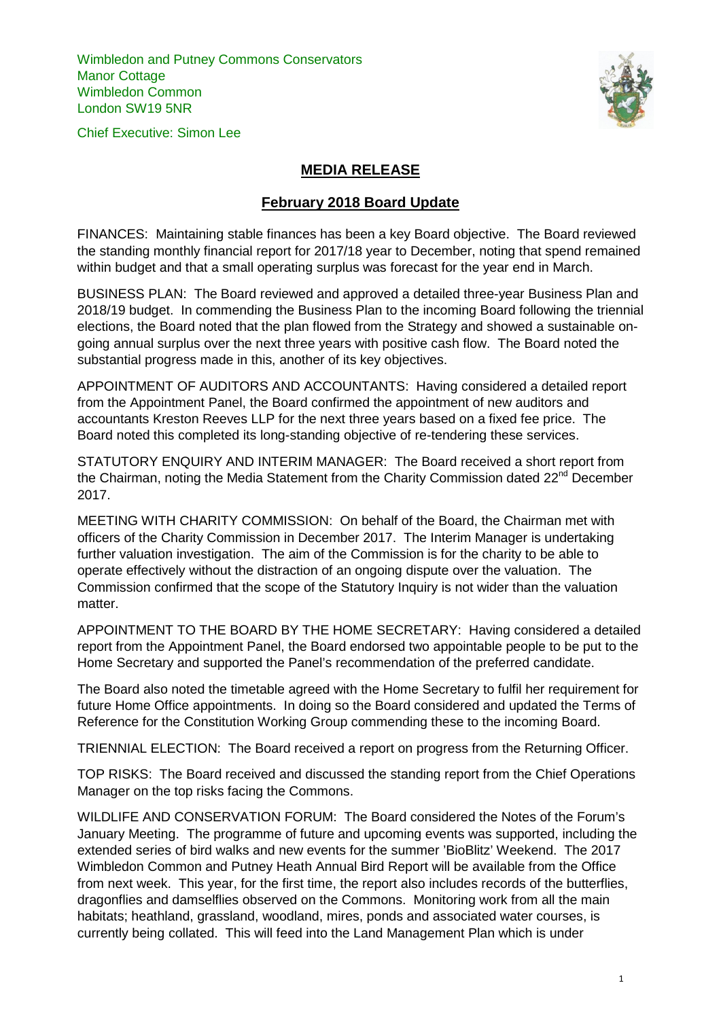Wimbledon and Putney Commons Conservators Manor Cottage Wimbledon Common London SW19 5NR





## **MEDIA RELEASE**

## **February 2018 Board Update**

FINANCES: Maintaining stable finances has been a key Board objective. The Board reviewed the standing monthly financial report for 2017/18 year to December, noting that spend remained within budget and that a small operating surplus was forecast for the year end in March.

BUSINESS PLAN: The Board reviewed and approved a detailed three-year Business Plan and 2018/19 budget. In commending the Business Plan to the incoming Board following the triennial elections, the Board noted that the plan flowed from the Strategy and showed a sustainable ongoing annual surplus over the next three years with positive cash flow. The Board noted the substantial progress made in this, another of its key objectives.

APPOINTMENT OF AUDITORS AND ACCOUNTANTS: Having considered a detailed report from the Appointment Panel, the Board confirmed the appointment of new auditors and accountants Kreston Reeves LLP for the next three years based on a fixed fee price. The Board noted this completed its long-standing objective of re-tendering these services.

STATUTORY ENQUIRY AND INTERIM MANAGER: The Board received a short report from the Chairman, noting the Media Statement from the Charity Commission dated  $22^{nd}$  December 2017.

MEETING WITH CHARITY COMMISSION: On behalf of the Board, the Chairman met with officers of the Charity Commission in December 2017. The Interim Manager is undertaking further valuation investigation. The aim of the Commission is for the charity to be able to operate effectively without the distraction of an ongoing dispute over the valuation. The Commission confirmed that the scope of the Statutory Inquiry is not wider than the valuation matter.

APPOINTMENT TO THE BOARD BY THE HOME SECRETARY: Having considered a detailed report from the Appointment Panel, the Board endorsed two appointable people to be put to the Home Secretary and supported the Panel's recommendation of the preferred candidate.

The Board also noted the timetable agreed with the Home Secretary to fulfil her requirement for future Home Office appointments. In doing so the Board considered and updated the Terms of Reference for the Constitution Working Group commending these to the incoming Board.

TRIENNIAL ELECTION: The Board received a report on progress from the Returning Officer.

TOP RISKS: The Board received and discussed the standing report from the Chief Operations Manager on the top risks facing the Commons.

WILDLIFE AND CONSERVATION FORUM: The Board considered the Notes of the Forum's January Meeting. The programme of future and upcoming events was supported, including the extended series of bird walks and new events for the summer 'BioBlitz' Weekend. The 2017 Wimbledon Common and Putney Heath Annual Bird Report will be available from the Office from next week. This year, for the first time, the report also includes records of the butterflies, dragonflies and damselflies observed on the Commons. Monitoring work from all the main habitats; heathland, grassland, woodland, mires, ponds and associated water courses, is currently being collated. This will feed into the Land Management Plan which is under